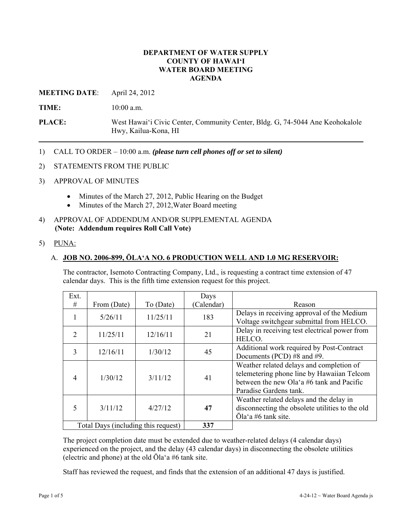### **DEPARTMENT OF WATER SUPPLY COUNTY OF HAWAI'I WATER BOARD MEETING AGENDA**

**MEETING DATE**: April 24, 2012

**TIME:** 10:00 a.m.

**PLACE:** West Hawai'i Civic Center, Community Center, Bldg. G, 74-5044 Ane Keohokalole Hwy, Kailua-Kona, HI

- 1) CALL TO ORDER 10:00 a.m. *(please turn cell phones off or set to silent)*
- 2) STATEMENTS FROM THE PUBLIC
- 3) APPROVAL OF MINUTES
	- Minutes of the March 27, 2012, Public Hearing on the Budget
	- Minutes of the March 27, 2012, Water Board meeting
- 4) APPROVAL OF ADDENDUM AND/OR SUPPLEMENTAL AGENDA **(Note: Addendum requires Roll Call Vote)**
- 5) PUNA:

#### A. **JOB NO. 2006-899, ŌLA'A NO. 6 PRODUCTION WELL AND 1.0 MG RESERVOIR:**

The contractor, Isemoto Contracting Company, Ltd., is requesting a contract time extension of 47 calendar days. This is the fifth time extension request for this project.

| Ext.                                |             |           | Days       |                                                 |
|-------------------------------------|-------------|-----------|------------|-------------------------------------------------|
| #                                   | From (Date) | To (Date) | (Calendar) | Reason                                          |
|                                     | 5/26/11     | 11/25/11  | 183        | Delays in receiving approval of the Medium      |
|                                     |             |           |            | Voltage switchgear submittal from HELCO.        |
|                                     |             |           |            | Delay in receiving test electrical power from   |
| $\overline{2}$                      | 11/25/11    | 12/16/11  | 21         | HELCO.                                          |
|                                     |             |           |            | Additional work required by Post-Contract       |
| 3                                   | 12/16/11    | 1/30/12   | 45         | Documents (PCD) #8 and #9.                      |
|                                     |             |           |            | Weather related delays and completion of        |
| $\overline{4}$                      | 1/30/12     | 3/11/12   | 41         | telemetering phone line by Hawaiian Telcom      |
|                                     |             |           |            | between the new Ola'a #6 tank and Pacific       |
|                                     |             |           |            | Paradise Gardens tank.                          |
|                                     |             |           |            | Weather related delays and the delay in         |
| 5                                   | 3/11/12     | 4/27/12   | 47         | disconnecting the obsolete utilities to the old |
|                                     |             |           |            | Ōla'a #6 tank site.                             |
| Total Days (including this request) |             |           | 337        |                                                 |

The project completion date must be extended due to weather-related delays (4 calendar days) experienced on the project, and the delay (43 calendar days) in disconnecting the obsolete utilities (electric and phone) at the old Ōla'a #6 tank site.

Staff has reviewed the request, and finds that the extension of an additional 47 days is justified.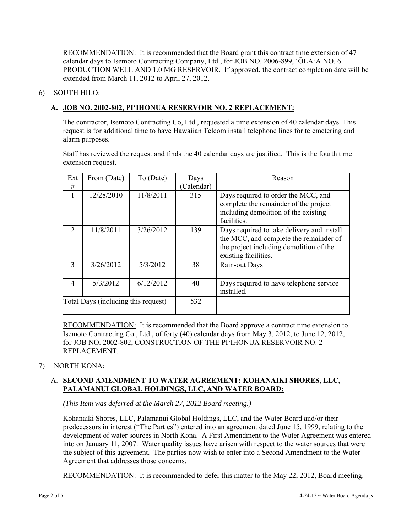RECOMMENDATION: It is recommended that the Board grant this contract time extension of 47 calendar days to Isemoto Contracting Company, Ltd., for JOB NO. 2006-899, 'ŌLA'A NO. 6 PRODUCTION WELL AND 1.0 MG RESERVOIR. If approved, the contract completion date will be extended from March 11, 2012 to April 27, 2012.

## 6) SOUTH HILO:

# **A. JOB NO. 2002-802, PI'IHONUA RESERVOIR NO. 2 REPLACEMENT:**

The contractor, Isemoto Contracting Co, Ltd., requested a time extension of 40 calendar days. This request is for additional time to have Hawaiian Telcom install telephone lines for telemetering and alarm purposes.

Staff has reviewed the request and finds the 40 calendar days are justified. This is the fourth time extension request.

| Ext                                 | From (Date) | To (Date) | Days       | Reason                                                                                                                                                  |
|-------------------------------------|-------------|-----------|------------|---------------------------------------------------------------------------------------------------------------------------------------------------------|
| #                                   |             |           | (Calendar) |                                                                                                                                                         |
| 1                                   | 12/28/2010  | 11/8/2011 | 315        | Days required to order the MCC, and<br>complete the remainder of the project<br>including demolition of the existing<br>facilities.                     |
| $\mathcal{L}$                       | 11/8/2011   | 3/26/2012 | 139        | Days required to take delivery and install<br>the MCC, and complete the remainder of<br>the project including demolition of the<br>existing facilities. |
| $\mathcal{E}$                       | 3/26/2012   | 5/3/2012  | 38         | Rain-out Days                                                                                                                                           |
| $\overline{4}$                      | 5/3/2012    | 6/12/2012 | 40         | Days required to have telephone service<br>installed.                                                                                                   |
| Total Days (including this request) |             |           | 532        |                                                                                                                                                         |

RECOMMENDATION: It is recommended that the Board approve a contract time extension to Isemoto Contracting Co., Ltd., of forty (40) calendar days from May 3, 2012, to June 12, 2012, for JOB NO. 2002-802, CONSTRUCTION OF THE PI'IHONUA RESERVOIR NO. 2 REPLACEMENT.

#### 7) NORTH KONA:

## A. **SECOND AMENDMENT TO WATER AGREEMENT: KOHANAIKI SHORES, LLC, PALAMANUI GLOBAL HOLDINGS, LLC, AND WATER BOARD:**

*(This Item was deferred at the March 27, 2012 Board meeting.)* 

Kohanaiki Shores, LLC, Palamanui Global Holdings, LLC, and the Water Board and/or their predecessors in interest ("The Parties") entered into an agreement dated June 15, 1999, relating to the development of water sources in North Kona. A First Amendment to the Water Agreement was entered into on January 11, 2007. Water quality issues have arisen with respect to the water sources that were the subject of this agreement. The parties now wish to enter into a Second Amendment to the Water Agreement that addresses those concerns.

RECOMMENDATION: It is recommended to defer this matter to the May 22, 2012, Board meeting.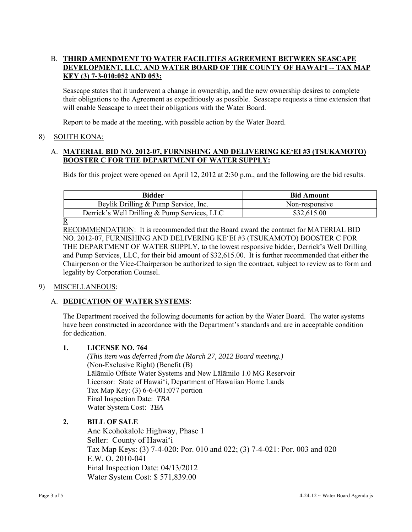## B. **THIRD AMENDMENT TO WATER FACILITIES AGREEMENT BETWEEN SEASCAPE DEVELOPMENT, LLC, AND WATER BOARD OF THE COUNTY OF HAWAI'I -- TAX MAP KEY (3) 7-3-010:052 AND 053:**

Seascape states that it underwent a change in ownership, and the new ownership desires to complete their obligations to the Agreement as expeditiously as possible. Seascape requests a time extension that will enable Seascape to meet their obligations with the Water Board.

Report to be made at the meeting, with possible action by the Water Board.

## 8) SOUTH KONA:

## A. **MATERIAL BID NO. 2012-07, FURNISHING AND DELIVERING KE'EI #3 (TSUKAMOTO) BOOSTER C FOR THE DEPARTMENT OF WATER SUPPLY:**

Bids for this project were opened on April 12, 2012 at 2:30 p.m., and the following are the bid results.

| <b>Bidder</b>                                | <b>Bid Amount</b> |
|----------------------------------------------|-------------------|
| Beylik Drilling & Pump Service, Inc.         | Non-responsive    |
| Derrick's Well Drilling & Pump Services, LLC | \$32,615.00       |
| R                                            |                   |

RECOMMENDATION: It is recommended that the Board award the contract for MATERIAL BID NO. 2012-07, FURNISHING AND DELIVERING KE'EI #3 (TSUKAMOTO) BOOSTER C FOR THE DEPARTMENT OF WATER SUPPLY, to the lowest responsive bidder, Derrick's Well Drilling and Pump Services, LLC, for their bid amount of \$32,615.00. It is further recommended that either the Chairperson or the Vice-Chairperson be authorized to sign the contract, subject to review as to form and legality by Corporation Counsel.

# 9) MISCELLANEOUS:

# A. **DEDICATION OF WATER SYSTEMS**:

The Department received the following documents for action by the Water Board. The water systems have been constructed in accordance with the Department's standards and are in acceptable condition for dedication.

### **1. LICENSE NO. 764**

 *(This item was deferred from the March 27, 2012 Board meeting.)*  (Non-Exclusive Right) (Benefit (B) Lālāmilo Offsite Water Systems and New Lālāmilo 1.0 MG Reservoir Licensor: State of Hawai'i, Department of Hawaiian Home Lands Tax Map Key: (3) 6-6-001:077 portion Final Inspection Date: *TBA* Water System Cost: *TBA*

# **2. BILL OF SALE**

Ane Keohokalole Highway, Phase 1 Seller: County of Hawai'i Tax Map Keys: (3) 7-4-020: Por. 010 and 022; (3) 7-4-021: Por. 003 and 020 E.W. O. 2010-041 Final Inspection Date: 04/13/2012 Water System Cost: \$ 571,839.00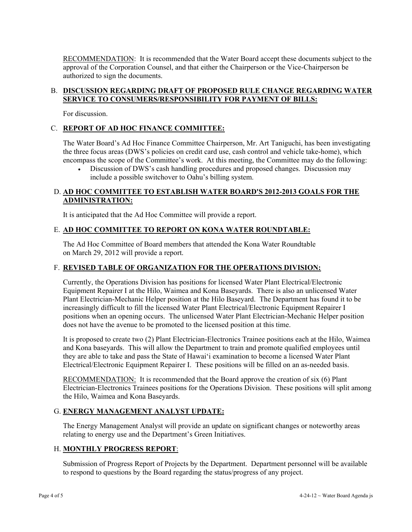RECOMMENDATION: It is recommended that the Water Board accept these documents subject to the approval of the Corporation Counsel, and that either the Chairperson or the Vice-Chairperson be authorized to sign the documents.

## B. **DISCUSSION REGARDING DRAFT OF PROPOSED RULE CHANGE REGARDING WATER SERVICE TO CONSUMERS/RESPONSIBILITY FOR PAYMENT OF BILLS:**

For discussion.

# C. **REPORT OF AD HOC FINANCE COMMITTEE:**

The Water Board's Ad Hoc Finance Committee Chairperson, Mr. Art Taniguchi, has been investigating the three focus areas (DWS's policies on credit card use, cash control and vehicle take-home), which encompass the scope of the Committee's work. At this meeting, the Committee may do the following:

 Discussion of DWS's cash handling procedures and proposed changes. Discussion may include a possible switchover to Oahu's billing system.

## D. **AD HOC COMMITTEE TO ESTABLISH WATER BOARD'S 2012-2013 GOALS FOR THE ADMINISTRATION:**

It is anticipated that the Ad Hoc Committee will provide a report.

## E. **AD HOC COMMITTEE TO REPORT ON KONA WATER ROUNDTABLE:**

The Ad Hoc Committee of Board members that attended the Kona Water Roundtable on March 29, 2012 will provide a report.

## F. **REVISED TABLE OF ORGANIZATION FOR THE OPERATIONS DIVISION:**

Currently, the Operations Division has positions for licensed Water Plant Electrical/Electronic Equipment Repairer I at the Hilo, Waimea and Kona Baseyards. There is also an unlicensed Water Plant Electrician-Mechanic Helper position at the Hilo Baseyard. The Department has found it to be increasingly difficult to fill the licensed Water Plant Electrical/Electronic Equipment Repairer I positions when an opening occurs. The unlicensed Water Plant Electrician-Mechanic Helper position does not have the avenue to be promoted to the licensed position at this time.

It is proposed to create two (2) Plant Electrician-Electronics Trainee positions each at the Hilo, Waimea and Kona baseyards. This will allow the Department to train and promote qualified employees until they are able to take and pass the State of Hawai'i examination to become a licensed Water Plant Electrical/Electronic Equipment Repairer I. These positions will be filled on an as-needed basis.

RECOMMENDATION: It is recommended that the Board approve the creation of six (6) Plant Electrician-Electronics Trainees positions for the Operations Division. These positions will split among the Hilo, Waimea and Kona Baseyards.

# G. **ENERGY MANAGEMENT ANALYST UPDATE:**

The Energy Management Analyst will provide an update on significant changes or noteworthy areas relating to energy use and the Department's Green Initiatives.

# H. **MONTHLY PROGRESS REPORT**:

Submission of Progress Report of Projects by the Department. Department personnel will be available to respond to questions by the Board regarding the status/progress of any project.